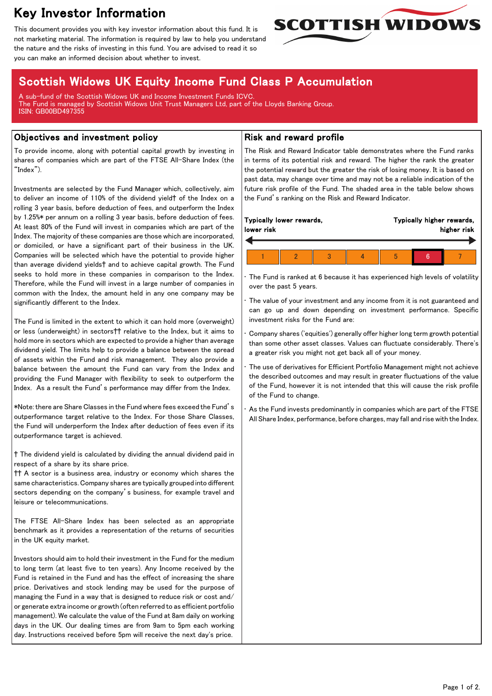# Key Investor Information

This document provides you with key investor information about this fund. It is not marketing material. The information is required by law to help you understand the nature and the risks of investing in this fund. You are advised to read it so you can make an informed decision about whether to invest.



# Scottish Widows UK Equity Income Fund Class P Accumulation

A sub-fund of the Scottish Widows UK and Income Investment Funds ICVC. The Fund is managed by Scottish Widows Unit Trust Managers Ltd, part of the Lloyds Banking Group. ISIN: GB00BD497355

## Objectives and investment policy

To provide income, along with potential capital growth by investing in shares of companies which are part of the FTSE All-Share Index (the "Index").

Investments are selected by the Fund Manager which, collectively, aim to deliver an income of 110% of the dividend yield† of the Index on a rolling 3 year basis, before deduction of fees, and outperform the Index by 1.25%\* per annum on a rolling 3 year basis, before deduction of fees. At least 80% of the Fund will invest in companies which are part of the Index. The majority of these companies are those which are incorporated, or domiciled, or have a significant part of their business in the UK. Companies will be selected which have the potential to provide higher than average dividend yields† and to achieve capital growth. The Fund seeks to hold more in these companies in comparison to the Index. Therefore, while the Fund will invest in a large number of companies in common with the Index, the amount held in any one company may be significantly different to the Index.

The Fund is limited in the extent to which it can hold more (overweight) or less (underweight) in sectors†† relative to the Index, but it aims to hold more in sectors which are expected to provide a higher than average dividend yield. The limits help to provide a balance between the spread of assets within the Fund and risk management. They also provide a balance between the amount the Fund can vary from the Index and providing the Fund Manager with flexibility to seek to outperform the Index. As a result the Fund's performance may differ from the Index.

\*Note: there are Share Classes in the Fund where fees exceed the Fund's outperformance target relative to the Index. For those Share Classes, the Fund will underperform the Index after deduction of fees even if its outperformance target is achieved.

† The dividend yield is calculated by dividing the annual dividend paid in respect of a share by its share price.

†† A sector is a business area, industry or economy which shares the same characteristics. Company shares are typically grouped into different sectors depending on the company's business, for example travel and leisure or telecommunications.

The FTSE All-Share Index has been selected as an appropriate benchmark as it provides a representation of the returns of securities in the UK equity market.

Investors should aim to hold their investment in the Fund for the medium to long term (at least five to ten years). Any Income received by the Fund is retained in the Fund and has the effect of increasing the share price. Derivatives and stock lending may be used for the purpose of managing the Fund in a way that is designed to reduce risk or cost and/ or generate extra income or growth (often referred to as efficient portfolio management). We calculate the value of the Fund at 8am daily on working days in the UK. Our dealing times are from 9am to 5pm each working day. Instructions received before 5pm will receive the next day's price.

# Risk and reward profile

The Risk and Reward Indicator table demonstrates where the Fund ranks in terms of its potential risk and reward. The higher the rank the greater the potential reward but the greater the risk of losing money. It is based on past data, may change over time and may not be a reliable indication of the future risk profile of the Fund. The shaded area in the table below shows the Fund's ranking on the Risk and Reward Indicator.

| lower risk | Typically lower rewards, |  | Typically higher rewards,<br>higher risk |  |  |
|------------|--------------------------|--|------------------------------------------|--|--|
|            |                          |  |                                          |  |  |

The Fund is ranked at 6 because it has experienced high levels of volatility over the past 5 years.

The value of your investment and any income from it is not guaranteed and can go up and down depending on investment performance. Specific investment risks for the Fund are:

• Company shares ('equities') generally offer higher long term growth potential than some other asset classes. Values can fluctuate considerably. There's a greater risk you might not get back all of your money.

The use of derivatives for Efficient Portfolio Management might not achieve the described outcomes and may result in greater fluctuations of the value of the Fund, however it is not intended that this will cause the risk profile of the Fund to change.

As the Fund invests predominantly in companies which are part of the FTSE All Share Index, performance, before charges, may fall and rise with the Index.